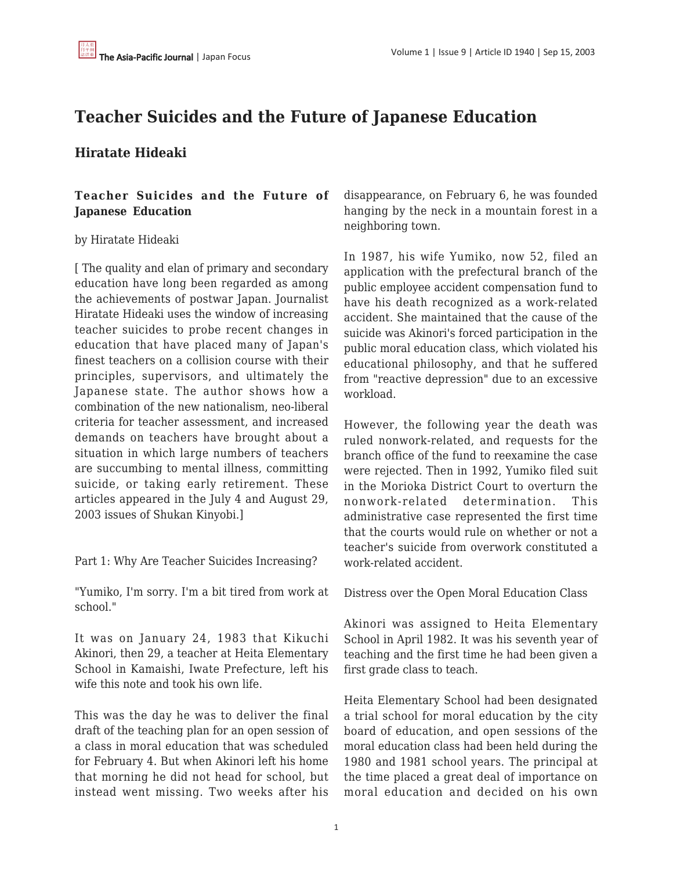# **Teacher Suicides and the Future of Japanese Education**

### **Hiratate Hideaki**

### **Teacher Suicides and the Future of Japanese Education**

#### by Hiratate Hideaki

[ The quality and elan of primary and secondary education have long been regarded as among the achievements of postwar Japan. Journalist Hiratate Hideaki uses the window of increasing teacher suicides to probe recent changes in education that have placed many of Japan's finest teachers on a collision course with their principles, supervisors, and ultimately the Japanese state. The author shows how a combination of the new nationalism, neo-liberal criteria for teacher assessment, and increased demands on teachers have brought about a situation in which large numbers of teachers are succumbing to mental illness, committing suicide, or taking early retirement. These articles appeared in the July 4 and August 29, 2003 issues of Shukan Kinyobi.]

Part 1: Why Are Teacher Suicides Increasing?

"Yumiko, I'm sorry. I'm a bit tired from work at school."

It was on January 24, 1983 that Kikuchi Akinori, then 29, a teacher at Heita Elementary School in Kamaishi, Iwate Prefecture, left his wife this note and took his own life.

This was the day he was to deliver the final draft of the teaching plan for an open session of a class in moral education that was scheduled for February 4. But when Akinori left his home that morning he did not head for school, but instead went missing. Two weeks after his disappearance, on February 6, he was founded hanging by the neck in a mountain forest in a neighboring town.

In 1987, his wife Yumiko, now 52, filed an application with the prefectural branch of the public employee accident compensation fund to have his death recognized as a work-related accident. She maintained that the cause of the suicide was Akinori's forced participation in the public moral education class, which violated his educational philosophy, and that he suffered from "reactive depression" due to an excessive workload.

However, the following year the death was ruled nonwork-related, and requests for the branch office of the fund to reexamine the case were rejected. Then in 1992, Yumiko filed suit in the Morioka District Court to overturn the nonwork-related determination. This administrative case represented the first time that the courts would rule on whether or not a teacher's suicide from overwork constituted a work-related accident.

Distress over the Open Moral Education Class

Akinori was assigned to Heita Elementary School in April 1982. It was his seventh year of teaching and the first time he had been given a first grade class to teach.

Heita Elementary School had been designated a trial school for moral education by the city board of education, and open sessions of the moral education class had been held during the 1980 and 1981 school years. The principal at the time placed a great deal of importance on moral education and decided on his own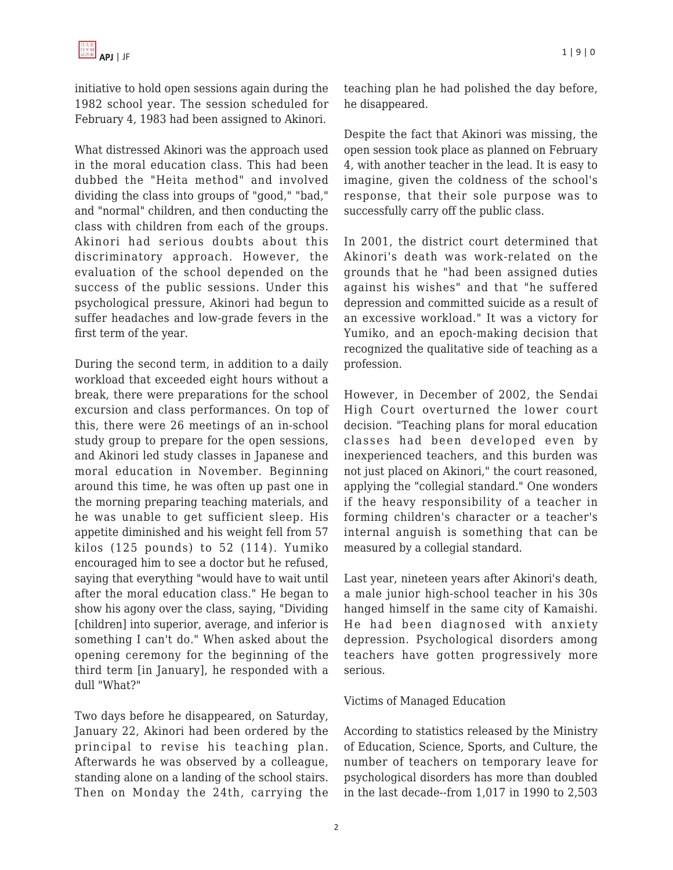initiative to hold open sessions again during the 1982 school year. The session scheduled for February 4, 1983 had been assigned to Akinori.

What distressed Akinori was the approach used in the moral education class. This had been dubbed the "Heita method" and involved dividing the class into groups of "good," "bad," and "normal" children, and then conducting the class with children from each of the groups. Akinori had serious doubts about this discriminatory approach. However, the evaluation of the school depended on the success of the public sessions. Under this psychological pressure, Akinori had begun to suffer headaches and low-grade fevers in the first term of the year.

During the second term, in addition to a daily workload that exceeded eight hours without a break, there were preparations for the school excursion and class performances. On top of this, there were 26 meetings of an in-school study group to prepare for the open sessions, and Akinori led study classes in Japanese and moral education in November. Beginning around this time, he was often up past one in the morning preparing teaching materials, and he was unable to get sufficient sleep. His appetite diminished and his weight fell from 57 kilos (125 pounds) to 52 (114). Yumiko encouraged him to see a doctor but he refused, saying that everything "would have to wait until after the moral education class." He began to show his agony over the class, saying, "Dividing [children] into superior, average, and inferior is something I can't do." When asked about the opening ceremony for the beginning of the third term [in January], he responded with a dull "What?"

Two days before he disappeared, on Saturday, January 22, Akinori had been ordered by the principal to revise his teaching plan. Afterwards he was observed by a colleague, standing alone on a landing of the school stairs. Then on Monday the 24th, carrying the teaching plan he had polished the day before, he disappeared.

Despite the fact that Akinori was missing, the open session took place as planned on February 4, with another teacher in the lead. It is easy to imagine, given the coldness of the school's response, that their sole purpose was to successfully carry off the public class.

In 2001, the district court determined that Akinori's death was work-related on the grounds that he "had been assigned duties against his wishes" and that "he suffered depression and committed suicide as a result of an excessive workload." It was a victory for Yumiko, and an epoch-making decision that recognized the qualitative side of teaching as a profession.

However, in December of 2002, the Sendai High Court overturned the lower court decision. "Teaching plans for moral education classes had been developed even by inexperienced teachers, and this burden was not just placed on Akinori," the court reasoned, applying the "collegial standard." One wonders if the heavy responsibility of a teacher in forming children's character or a teacher's internal anguish is something that can be measured by a collegial standard.

Last year, nineteen years after Akinori's death, a male junior high-school teacher in his 30s hanged himself in the same city of Kamaishi. He had been diagnosed with anxiety depression. Psychological disorders among teachers have gotten progressively more serious.

#### Victims of Managed Education

According to statistics released by the Ministry of Education, Science, Sports, and Culture, the number of teachers on temporary leave for psychological disorders has more than doubled in the last decade--from 1,017 in 1990 to 2,503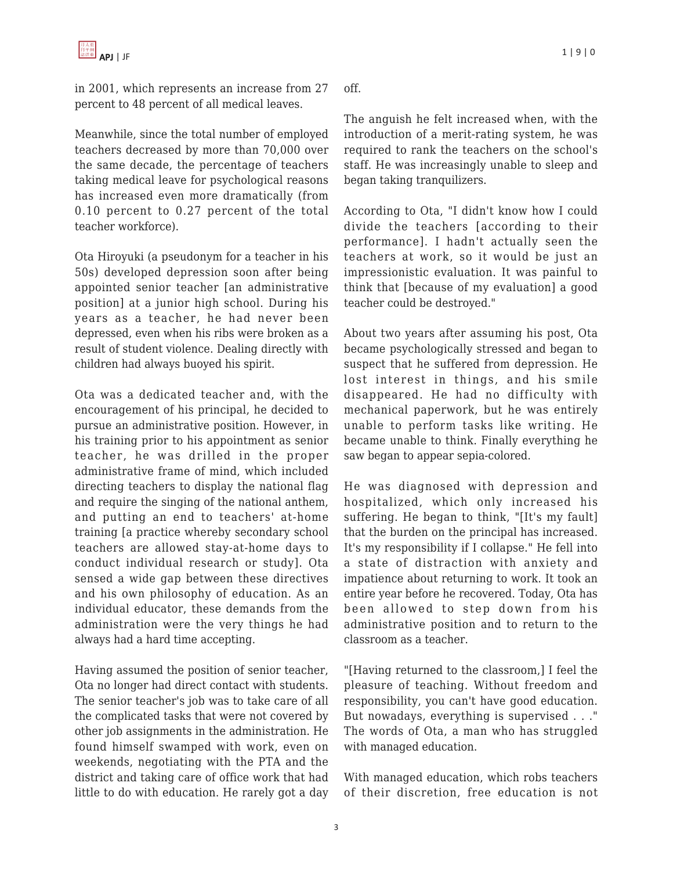in 2001, which represents an increase from 27 percent to 48 percent of all medical leaves.

Meanwhile, since the total number of employed teachers decreased by more than 70,000 over the same decade, the percentage of teachers taking medical leave for psychological reasons has increased even more dramatically (from 0.10 percent to 0.27 percent of the total teacher workforce).

Ota Hiroyuki (a pseudonym for a teacher in his 50s) developed depression soon after being appointed senior teacher [an administrative position] at a junior high school. During his years as a teacher, he had never been depressed, even when his ribs were broken as a result of student violence. Dealing directly with children had always buoyed his spirit.

Ota was a dedicated teacher and, with the encouragement of his principal, he decided to pursue an administrative position. However, in his training prior to his appointment as senior teacher, he was drilled in the proper administrative frame of mind, which included directing teachers to display the national flag and require the singing of the national anthem, and putting an end to teachers' at-home training [a practice whereby secondary school teachers are allowed stay-at-home days to conduct individual research or study]. Ota sensed a wide gap between these directives and his own philosophy of education. As an individual educator, these demands from the administration were the very things he had always had a hard time accepting.

Having assumed the position of senior teacher, Ota no longer had direct contact with students. The senior teacher's job was to take care of all the complicated tasks that were not covered by other job assignments in the administration. He found himself swamped with work, even on weekends, negotiating with the PTA and the district and taking care of office work that had little to do with education. He rarely got a day off.

The anguish he felt increased when, with the introduction of a merit-rating system, he was required to rank the teachers on the school's staff. He was increasingly unable to sleep and began taking tranquilizers.

According to Ota, "I didn't know how I could divide the teachers [according to their performance]. I hadn't actually seen the teachers at work, so it would be just an impressionistic evaluation. It was painful to think that [because of my evaluation] a good teacher could be destroyed."

About two years after assuming his post, Ota became psychologically stressed and began to suspect that he suffered from depression. He lost interest in things, and his smile disappeared. He had no difficulty with mechanical paperwork, but he was entirely unable to perform tasks like writing. He became unable to think. Finally everything he saw began to appear sepia-colored.

He was diagnosed with depression and hospitalized, which only increased his suffering. He began to think, "[It's my fault] that the burden on the principal has increased. It's my responsibility if I collapse." He fell into a state of distraction with anxiety and impatience about returning to work. It took an entire year before he recovered. Today, Ota has been allowed to step down from his administrative position and to return to the classroom as a teacher.

"[Having returned to the classroom,] I feel the pleasure of teaching. Without freedom and responsibility, you can't have good education. But nowadays, everything is supervised . . ." The words of Ota, a man who has struggled with managed education.

With managed education, which robs teachers of their discretion, free education is not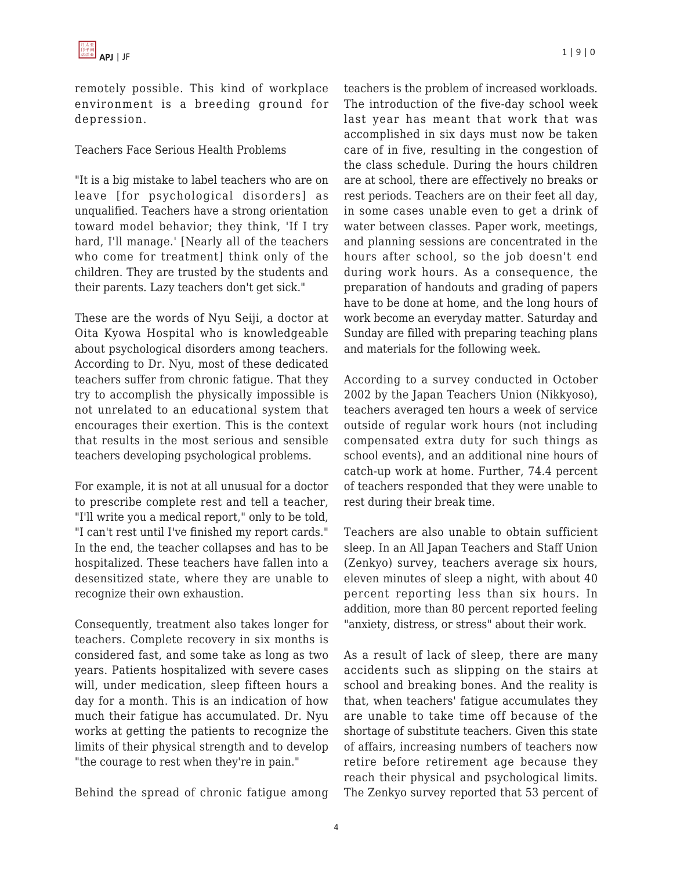remotely possible. This kind of workplace environment is a breeding ground for depression.

#### Teachers Face Serious Health Problems

"It is a big mistake to label teachers who are on leave [for psychological disorders] as unqualified. Teachers have a strong orientation toward model behavior; they think, 'If I try hard, I'll manage.' [Nearly all of the teachers who come for treatment] think only of the children. They are trusted by the students and their parents. Lazy teachers don't get sick."

These are the words of Nyu Seiji, a doctor at Oita Kyowa Hospital who is knowledgeable about psychological disorders among teachers. According to Dr. Nyu, most of these dedicated teachers suffer from chronic fatigue. That they try to accomplish the physically impossible is not unrelated to an educational system that encourages their exertion. This is the context that results in the most serious and sensible teachers developing psychological problems.

For example, it is not at all unusual for a doctor to prescribe complete rest and tell a teacher, "I'll write you a medical report," only to be told, "I can't rest until I've finished my report cards." In the end, the teacher collapses and has to be hospitalized. These teachers have fallen into a desensitized state, where they are unable to recognize their own exhaustion.

Consequently, treatment also takes longer for teachers. Complete recovery in six months is considered fast, and some take as long as two years. Patients hospitalized with severe cases will, under medication, sleep fifteen hours a day for a month. This is an indication of how much their fatigue has accumulated. Dr. Nyu works at getting the patients to recognize the limits of their physical strength and to develop "the courage to rest when they're in pain."

Behind the spread of chronic fatigue among

teachers is the problem of increased workloads. The introduction of the five-day school week last year has meant that work that was accomplished in six days must now be taken care of in five, resulting in the congestion of the class schedule. During the hours children are at school, there are effectively no breaks or rest periods. Teachers are on their feet all day, in some cases unable even to get a drink of water between classes. Paper work, meetings, and planning sessions are concentrated in the hours after school, so the job doesn't end during work hours. As a consequence, the preparation of handouts and grading of papers have to be done at home, and the long hours of work become an everyday matter. Saturday and Sunday are filled with preparing teaching plans and materials for the following week.

According to a survey conducted in October 2002 by the Japan Teachers Union (Nikkyoso), teachers averaged ten hours a week of service outside of regular work hours (not including compensated extra duty for such things as school events), and an additional nine hours of catch-up work at home. Further, 74.4 percent of teachers responded that they were unable to rest during their break time.

Teachers are also unable to obtain sufficient sleep. In an All Japan Teachers and Staff Union (Zenkyo) survey, teachers average six hours, eleven minutes of sleep a night, with about 40 percent reporting less than six hours. In addition, more than 80 percent reported feeling "anxiety, distress, or stress" about their work.

As a result of lack of sleep, there are many accidents such as slipping on the stairs at school and breaking bones. And the reality is that, when teachers' fatigue accumulates they are unable to take time off because of the shortage of substitute teachers. Given this state of affairs, increasing numbers of teachers now retire before retirement age because they reach their physical and psychological limits. The Zenkyo survey reported that 53 percent of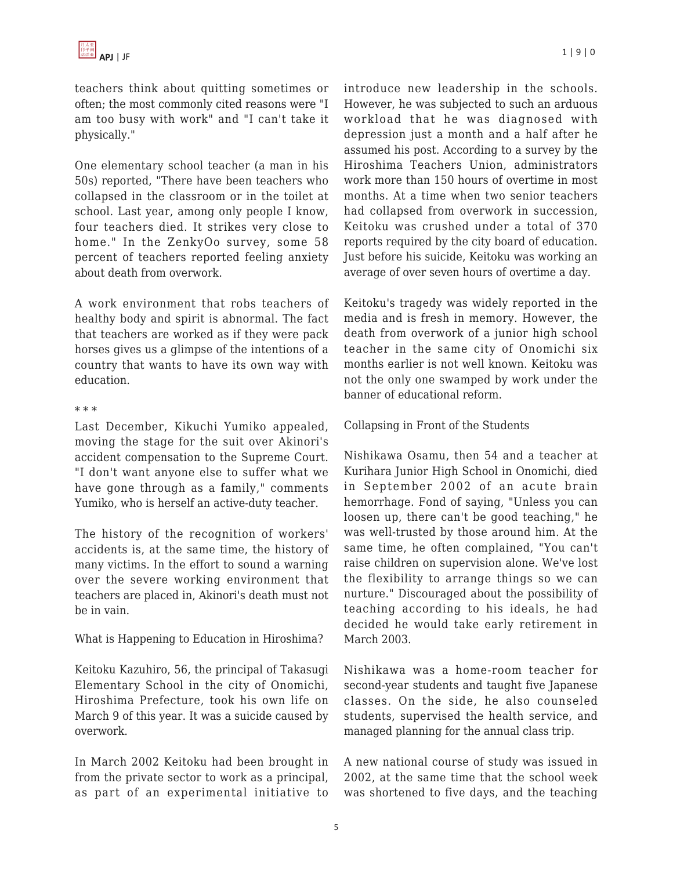teachers think about quitting sometimes or often; the most commonly cited reasons were "I am too busy with work" and "I can't take it physically."

One elementary school teacher (a man in his 50s) reported, "There have been teachers who collapsed in the classroom or in the toilet at school. Last year, among only people I know, four teachers died. It strikes very close to home." In the ZenkyOo survey, some 58 percent of teachers reported feeling anxiety about death from overwork.

A work environment that robs teachers of healthy body and spirit is abnormal. The fact that teachers are worked as if they were pack horses gives us a glimpse of the intentions of a country that wants to have its own way with education.

#### \* \* \*

Last December, Kikuchi Yumiko appealed, moving the stage for the suit over Akinori's accident compensation to the Supreme Court. "I don't want anyone else to suffer what we have gone through as a family," comments Yumiko, who is herself an active-duty teacher.

The history of the recognition of workers' accidents is, at the same time, the history of many victims. In the effort to sound a warning over the severe working environment that teachers are placed in, Akinori's death must not be in vain.

What is Happening to Education in Hiroshima?

Keitoku Kazuhiro, 56, the principal of Takasugi Elementary School in the city of Onomichi, Hiroshima Prefecture, took his own life on March 9 of this year. It was a suicide caused by overwork.

In March 2002 Keitoku had been brought in from the private sector to work as a principal, as part of an experimental initiative to introduce new leadership in the schools. However, he was subjected to such an arduous workload that he was diagnosed with depression just a month and a half after he assumed his post. According to a survey by the Hiroshima Teachers Union, administrators work more than 150 hours of overtime in most months. At a time when two senior teachers had collapsed from overwork in succession, Keitoku was crushed under a total of 370 reports required by the city board of education. Just before his suicide, Keitoku was working an average of over seven hours of overtime a day.

Keitoku's tragedy was widely reported in the media and is fresh in memory. However, the death from overwork of a junior high school teacher in the same city of Onomichi six months earlier is not well known. Keitoku was not the only one swamped by work under the banner of educational reform.

Collapsing in Front of the Students

Nishikawa Osamu, then 54 and a teacher at Kurihara Junior High School in Onomichi, died in September 2002 of an acute brain hemorrhage. Fond of saying, "Unless you can loosen up, there can't be good teaching," he was well-trusted by those around him. At the same time, he often complained, "You can't raise children on supervision alone. We've lost the flexibility to arrange things so we can nurture." Discouraged about the possibility of teaching according to his ideals, he had decided he would take early retirement in March 2003.

Nishikawa was a home-room teacher for second-year students and taught five Japanese classes. On the side, he also counseled students, supervised the health service, and managed planning for the annual class trip.

A new national course of study was issued in 2002, at the same time that the school week was shortened to five days, and the teaching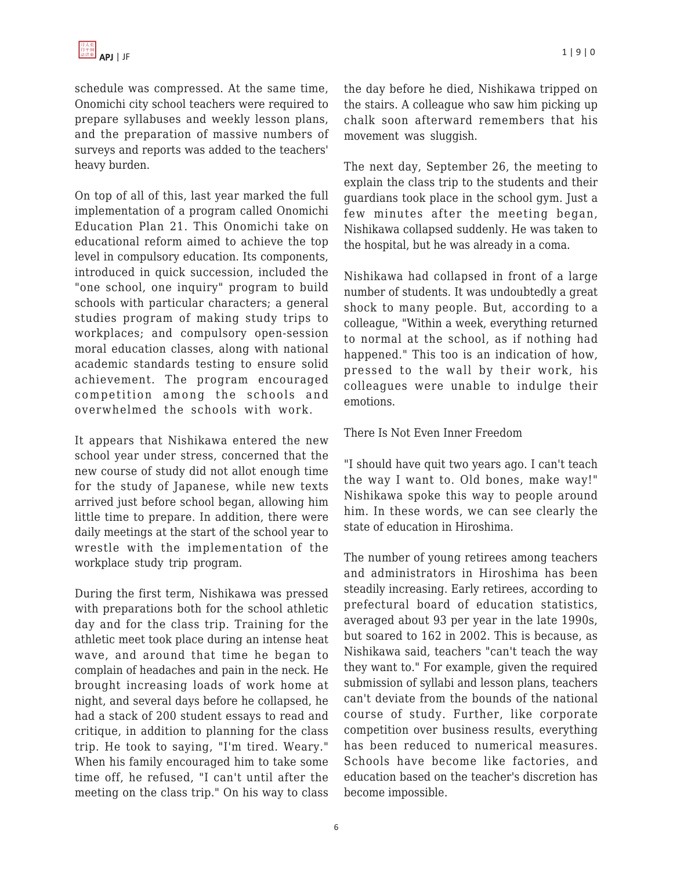schedule was compressed. At the same time, Onomichi city school teachers were required to prepare syllabuses and weekly lesson plans, and the preparation of massive numbers of surveys and reports was added to the teachers' heavy burden.

On top of all of this, last year marked the full implementation of a program called Onomichi Education Plan 21. This Onomichi take on educational reform aimed to achieve the top level in compulsory education. Its components, introduced in quick succession, included the "one school, one inquiry" program to build schools with particular characters; a general studies program of making study trips to workplaces; and compulsory open-session moral education classes, along with national academic standards testing to ensure solid achievement. The program encouraged competition among the schools and overwhelmed the schools with work.

It appears that Nishikawa entered the new school year under stress, concerned that the new course of study did not allot enough time for the study of Japanese, while new texts arrived just before school began, allowing him little time to prepare. In addition, there were daily meetings at the start of the school year to wrestle with the implementation of the workplace study trip program.

During the first term, Nishikawa was pressed with preparations both for the school athletic day and for the class trip. Training for the athletic meet took place during an intense heat wave, and around that time he began to complain of headaches and pain in the neck. He brought increasing loads of work home at night, and several days before he collapsed, he had a stack of 200 student essays to read and critique, in addition to planning for the class trip. He took to saying, "I'm tired. Weary." When his family encouraged him to take some time off, he refused, "I can't until after the meeting on the class trip." On his way to class the day before he died, Nishikawa tripped on the stairs. A colleague who saw him picking up chalk soon afterward remembers that his movement was sluggish.

The next day, September 26, the meeting to explain the class trip to the students and their guardians took place in the school gym. Just a few minutes after the meeting began, Nishikawa collapsed suddenly. He was taken to the hospital, but he was already in a coma.

Nishikawa had collapsed in front of a large number of students. It was undoubtedly a great shock to many people. But, according to a colleague, "Within a week, everything returned to normal at the school, as if nothing had happened." This too is an indication of how, pressed to the wall by their work, his colleagues were unable to indulge their emotions.

#### There Is Not Even Inner Freedom

"I should have quit two years ago. I can't teach the way I want to. Old bones, make way!" Nishikawa spoke this way to people around him. In these words, we can see clearly the state of education in Hiroshima.

The number of young retirees among teachers and administrators in Hiroshima has been steadily increasing. Early retirees, according to prefectural board of education statistics, averaged about 93 per year in the late 1990s, but soared to 162 in 2002. This is because, as Nishikawa said, teachers "can't teach the way they want to." For example, given the required submission of syllabi and lesson plans, teachers can't deviate from the bounds of the national course of study. Further, like corporate competition over business results, everything has been reduced to numerical measures. Schools have become like factories, and education based on the teacher's discretion has become impossible.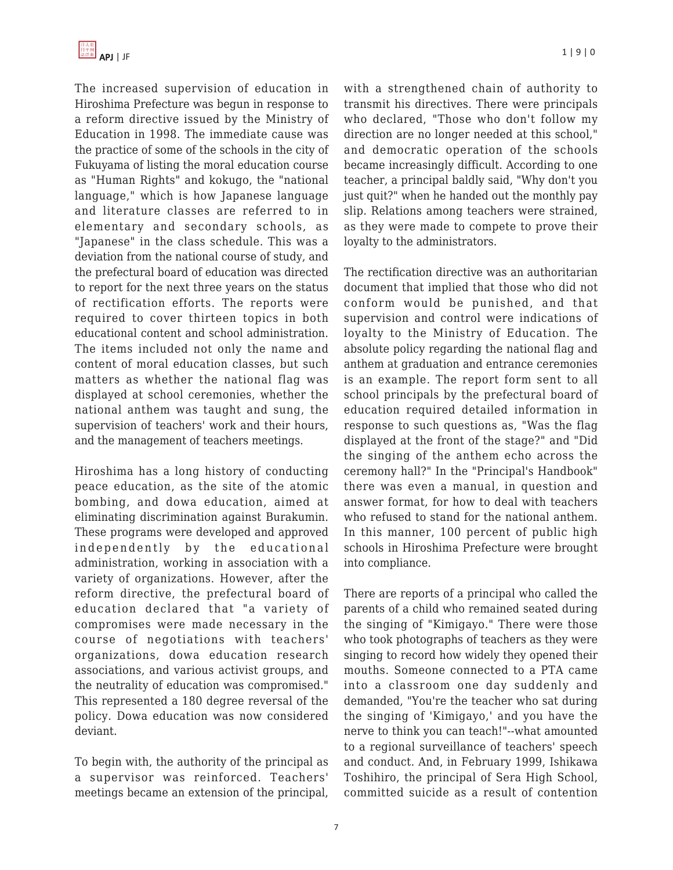The increased supervision of education in Hiroshima Prefecture was begun in response to a reform directive issued by the Ministry of Education in 1998. The immediate cause was the practice of some of the schools in the city of Fukuyama of listing the moral education course as "Human Rights" and kokugo, the "national language," which is how Japanese language and literature classes are referred to in elementary and secondary schools, as "Japanese" in the class schedule. This was a deviation from the national course of study, and the prefectural board of education was directed to report for the next three years on the status of rectification efforts. The reports were required to cover thirteen topics in both educational content and school administration. The items included not only the name and content of moral education classes, but such matters as whether the national flag was displayed at school ceremonies, whether the national anthem was taught and sung, the supervision of teachers' work and their hours, and the management of teachers meetings.

Hiroshima has a long history of conducting peace education, as the site of the atomic bombing, and dowa education, aimed at eliminating discrimination against Burakumin. These programs were developed and approved independently by the educational administration, working in association with a variety of organizations. However, after the reform directive, the prefectural board of education declared that "a variety of compromises were made necessary in the course of negotiations with teachers' organizations, dowa education research associations, and various activist groups, and the neutrality of education was compromised." This represented a 180 degree reversal of the policy. Dowa education was now considered deviant.

To begin with, the authority of the principal as a supervisor was reinforced. Teachers' meetings became an extension of the principal, with a strengthened chain of authority to transmit his directives. There were principals who declared, "Those who don't follow my direction are no longer needed at this school," and democratic operation of the schools became increasingly difficult. According to one teacher, a principal baldly said, "Why don't you just quit?" when he handed out the monthly pay slip. Relations among teachers were strained, as they were made to compete to prove their loyalty to the administrators.

The rectification directive was an authoritarian document that implied that those who did not conform would be punished, and that supervision and control were indications of loyalty to the Ministry of Education. The absolute policy regarding the national flag and anthem at graduation and entrance ceremonies is an example. The report form sent to all school principals by the prefectural board of education required detailed information in response to such questions as, "Was the flag displayed at the front of the stage?" and "Did the singing of the anthem echo across the ceremony hall?" In the "Principal's Handbook" there was even a manual, in question and answer format, for how to deal with teachers who refused to stand for the national anthem. In this manner, 100 percent of public high schools in Hiroshima Prefecture were brought into compliance.

There are reports of a principal who called the parents of a child who remained seated during the singing of "Kimigayo." There were those who took photographs of teachers as they were singing to record how widely they opened their mouths. Someone connected to a PTA came into a classroom one day suddenly and demanded, "You're the teacher who sat during the singing of 'Kimigayo,' and you have the nerve to think you can teach!"--what amounted to a regional surveillance of teachers' speech and conduct. And, in February 1999, Ishikawa Toshihiro, the principal of Sera High School, committed suicide as a result of contention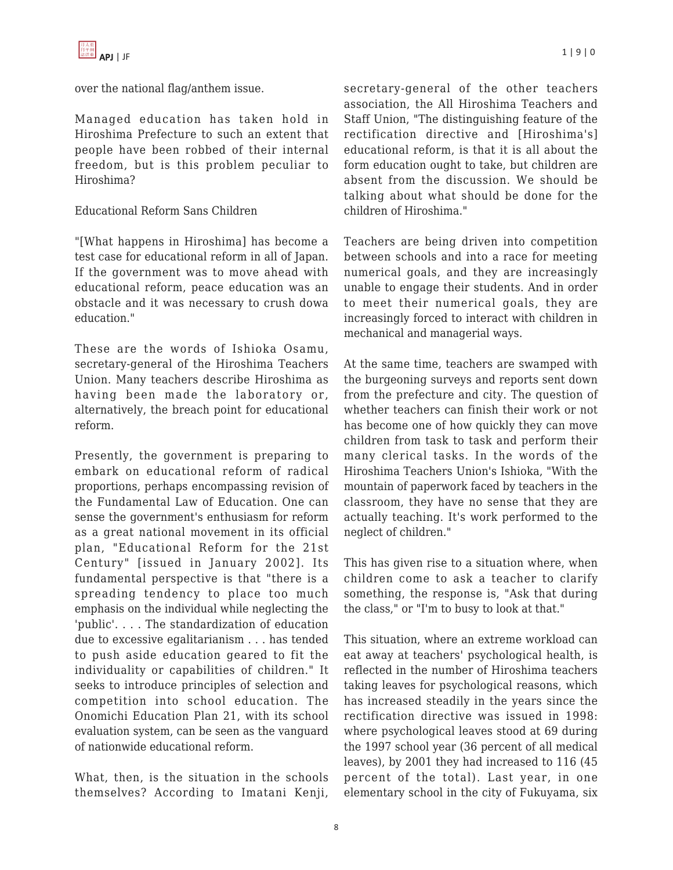over the national flag/anthem issue.

Managed education has taken hold in Hiroshima Prefecture to such an extent that people have been robbed of their internal freedom, but is this problem peculiar to Hiroshima?

## Educational Reform Sans Children

"[What happens in Hiroshima] has become a test case for educational reform in all of Japan. If the government was to move ahead with educational reform, peace education was an obstacle and it was necessary to crush dowa education."

These are the words of Ishioka Osamu, secretary-general of the Hiroshima Teachers Union. Many teachers describe Hiroshima as having been made the laboratory or, alternatively, the breach point for educational reform.

Presently, the government is preparing to embark on educational reform of radical proportions, perhaps encompassing revision of the Fundamental Law of Education. One can sense the government's enthusiasm for reform as a great national movement in its official plan, "Educational Reform for the 21st Century" [issued in January 2002]. Its fundamental perspective is that "there is a spreading tendency to place too much emphasis on the individual while neglecting the 'public'. . . . The standardization of education due to excessive egalitarianism . . . has tended to push aside education geared to fit the individuality or capabilities of children." It seeks to introduce principles of selection and competition into school education. The Onomichi Education Plan 21, with its school evaluation system, can be seen as the vanguard of nationwide educational reform.

What, then, is the situation in the schools themselves? According to Imatani Kenji, secretary-general of the other teachers association, the All Hiroshima Teachers and Staff Union, "The distinguishing feature of the rectification directive and [Hiroshima's] educational reform, is that it is all about the form education ought to take, but children are absent from the discussion. We should be talking about what should be done for the children of Hiroshima."

Teachers are being driven into competition between schools and into a race for meeting numerical goals, and they are increasingly unable to engage their students. And in order to meet their numerical goals, they are increasingly forced to interact with children in mechanical and managerial ways.

At the same time, teachers are swamped with the burgeoning surveys and reports sent down from the prefecture and city. The question of whether teachers can finish their work or not has become one of how quickly they can move children from task to task and perform their many clerical tasks. In the words of the Hiroshima Teachers Union's Ishioka, "With the mountain of paperwork faced by teachers in the classroom, they have no sense that they are actually teaching. It's work performed to the neglect of children."

This has given rise to a situation where, when children come to ask a teacher to clarify something, the response is, "Ask that during the class," or "I'm to busy to look at that."

This situation, where an extreme workload can eat away at teachers' psychological health, is reflected in the number of Hiroshima teachers taking leaves for psychological reasons, which has increased steadily in the years since the rectification directive was issued in 1998: where psychological leaves stood at 69 during the 1997 school year (36 percent of all medical leaves), by 2001 they had increased to 116 (45 percent of the total). Last year, in one elementary school in the city of Fukuyama, six